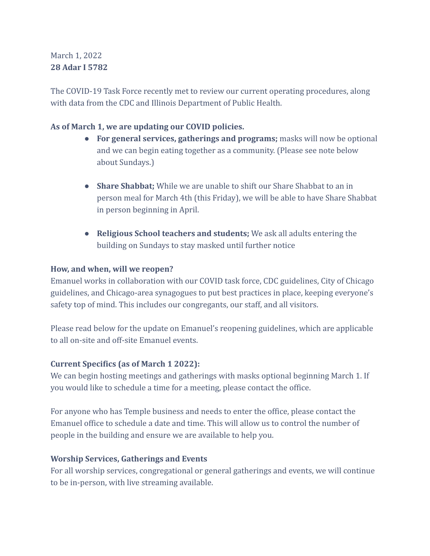# March 1, 2022 **28 Adar I 5782**

The COVID-19 Task Force recently met to review our current operating procedures, along with data from the CDC and Illinois Department of Public Health.

# **As of March 1, we are updating our COVID policies.**

- **For general services, gatherings and programs;** masks will now be optional and we can begin eating together as a community. (Please see note below about Sundays.)
- **Share Shabbat;** While we are unable to shift our Share Shabbat to an in person meal for March 4th (this Friday), we will be able to have Share Shabbat in person beginning in April.
- **Religious School teachers and students;** We ask all adults entering the building on Sundays to stay masked until further notice

# **How, and when, will we reopen?**

Emanuel works in collaboration with our COVID task force, CDC guidelines, City of Chicago guidelines, and Chicago-area synagogues to put best practices in place, keeping everyone's safety top of mind. This includes our congregants, our staff, and all visitors.

Please read below for the update on Emanuel's reopening guidelines, which are applicable to all on-site and off-site Emanuel events.

# **Current Specifics (as of March 1 2022):**

We can begin hosting meetings and gatherings with masks optional beginning March 1. If you would like to schedule a time for a meeting, please contact the office.

For anyone who has Temple business and needs to enter the office, please contact the Emanuel office to schedule a date and time. This will allow us to control the number of people in the building and ensure we are available to help you.

# **Worship Services, Gatherings and Events**

For all worship services, congregational or general gatherings and events, we will continue to be in-person, with live streaming available.